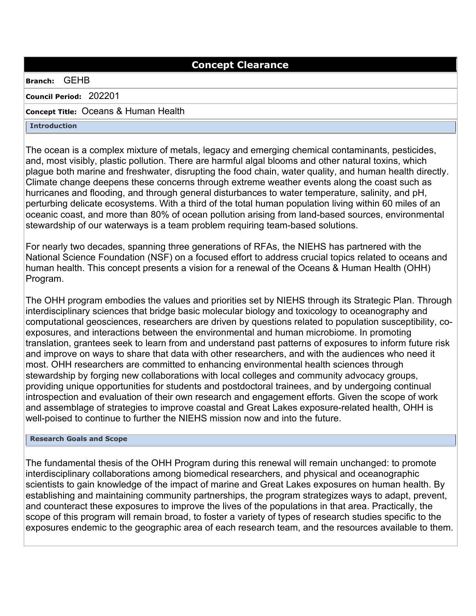# **Concept Clearance**

### **Branch:** GEHB

**Council Period:** 202201

## **Concept Title:** Oceans & Human Health

**Introduction**

The ocean is a complex mixture of metals, legacy and emerging chemical contaminants, pesticides, and, most visibly, plastic pollution. There are harmful algal blooms and other natural toxins, which plague both marine and freshwater, disrupting the food chain, water quality, and human health directly. Climate change deepens these concerns through extreme weather events along the coast such as hurricanes and flooding, and through general disturbances to water temperature, salinity, and pH, perturbing delicate ecosystems. With a third of the total human population living within 60 miles of an oceanic coast, and more than 80% of ocean pollution arising from land-based sources, environmental stewardship of our waterways is a team problem requiring team-based solutions.

For nearly two decades, spanning three generations of RFAs, the NIEHS has partnered with the National Science Foundation (NSF) on a focused effort to address crucial topics related to oceans and human health. This concept presents a vision for a renewal of the Oceans & Human Health (OHH) Program.

The OHH program embodies the values and priorities set by NIEHS through its Strategic Plan. Through interdisciplinary sciences that bridge basic molecular biology and toxicology to oceanography and computational geosciences, researchers are driven by questions related to population susceptibility, coexposures, and interactions between the environmental and human microbiome. In promoting translation, grantees seek to learn from and understand past patterns of exposures to inform future risk and improve on ways to share that data with other researchers, and with the audiences who need it most. OHH researchers are committed to enhancing environmental health sciences through stewardship by forging new collaborations with local colleges and community advocacy groups, providing unique opportunities for students and postdoctoral trainees, and by undergoing continual introspection and evaluation of their own research and engagement efforts. Given the scope of work and assemblage of strategies to improve coastal and Great Lakes exposure-related health, OHH is well-poised to continue to further the NIEHS mission now and into the future.

### **Research Goals and Scope**

The fundamental thesis of the OHH Program during this renewal will remain unchanged: to promote interdisciplinary collaborations among biomedical researchers, and physical and oceanographic scientists to gain knowledge of the impact of marine and Great Lakes exposures on human health. By establishing and maintaining community partnerships, the program strategizes ways to adapt, prevent, and counteract these exposures to improve the lives of the populations in that area. Practically, the scope of this program will remain broad, to foster a variety of types of research studies specific to the exposures endemic to the geographic area of each research team, and the resources available to them.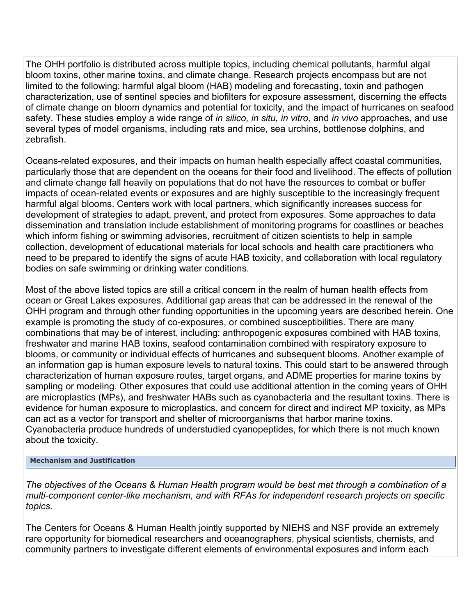The OHH portfolio is distributed across multiple topics, including chemical pollutants, harmful algal bloom toxins, other marine toxins, and climate change. Research projects encompass but are not limited to the following: harmful algal bloom (HAB) modeling and forecasting, toxin and pathogen characterization, use of sentinel species and biofilters for exposure assessment, discerning the effects of climate change on bloom dynamics and potential for toxicity, and the impact of hurricanes on seafood safety. These studies employ a wide range of *in silico, in situ, in vitro,* and *in vivo* approaches, and use several types of model organisms, including rats and mice, sea urchins, bottlenose dolphins, and zebrafish.

Oceans-related exposures, and their impacts on human health especially affect coastal communities, particularly those that are dependent on the oceans for their food and livelihood. The effects of pollution and climate change fall heavily on populations that do not have the resources to combat or buffer impacts of ocean-related events or exposures and are highly susceptible to the increasingly frequent harmful algal blooms. Centers work with local partners, which significantly increases success for development of strategies to adapt, prevent, and protect from exposures. Some approaches to data dissemination and translation include establishment of monitoring programs for coastlines or beaches which inform fishing or swimming advisories, recruitment of citizen scientists to help in sample collection, development of educational materials for local schools and health care practitioners who need to be prepared to identify the signs of acute HAB toxicity, and collaboration with local regulatory bodies on safe swimming or drinking water conditions.

Most of the above listed topics are still a critical concern in the realm of human health effects from ocean or Great Lakes exposures. Additional gap areas that can be addressed in the renewal of the OHH program and through other funding opportunities in the upcoming years are described herein. One example is promoting the study of co-exposures, or combined susceptibilities. There are many combinations that may be of interest, including: anthropogenic exposures combined with HAB toxins, freshwater and marine HAB toxins, seafood contamination combined with respiratory exposure to blooms, or community or individual effects of hurricanes and subsequent blooms. Another example of an information gap is human exposure levels to natural toxins. This could start to be answered through characterization of human exposure routes, target organs, and ADME properties for marine toxins by sampling or modeling. Other exposures that could use additional attention in the coming years of OHH are microplastics (MPs), and freshwater HABs such as cyanobacteria and the resultant toxins. There is evidence for human exposure to microplastics, and concern for direct and indirect MP toxicity, as MPs can act as a vector for transport and shelter of microorganisms that harbor marine toxins. Cyanobacteria produce hundreds of understudied cyanopeptides, for which there is not much known about the toxicity.

### **Mechanism and Justification**

*The objectives of the Oceans & Human Health program would be best met through a combination of a multi-component center-like mechanism, and with RFAs for independent research projects on specific topics.* 

The Centers for Oceans & Human Health jointly supported by NIEHS and NSF provide an extremely rare opportunity for biomedical researchers and oceanographers, physical scientists, chemists, and community partners to investigate different elements of environmental exposures and inform each